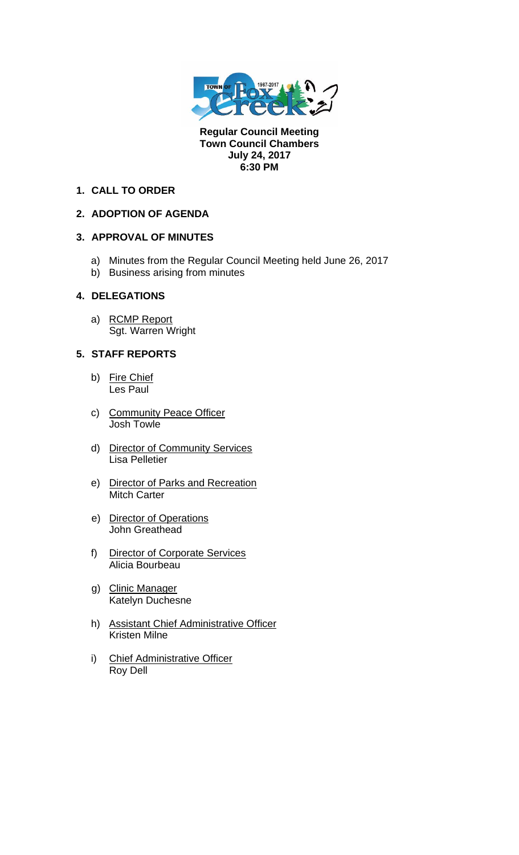

**Regular Council Meeting Town Council Chambers July 24, 2017 6:30 PM** 

### **1. CALL TO ORDER**

# **2. ADOPTION OF AGENDA**

# **3. APPROVAL OF MINUTES**

- a) Minutes from the Regular Council Meeting held June 26, 2017
- b) Business arising from minutes

#### **4. DELEGATIONS**

a) RCMP Report Sgt. Warren Wright

# **5. STAFF REPORTS**

- b) Fire Chief Les Paul
- c) Community Peace Officer Josh Towle
- d) Director of Community Services Lisa Pelletier
- e) Director of Parks and Recreation Mitch Carter
- e) Director of Operations John Greathead
- f) Director of Corporate Services Alicia Bourbeau
- g) Clinic Manager Katelyn Duchesne
- h) Assistant Chief Administrative Officer Kristen Milne
- i) Chief Administrative Officer Roy Dell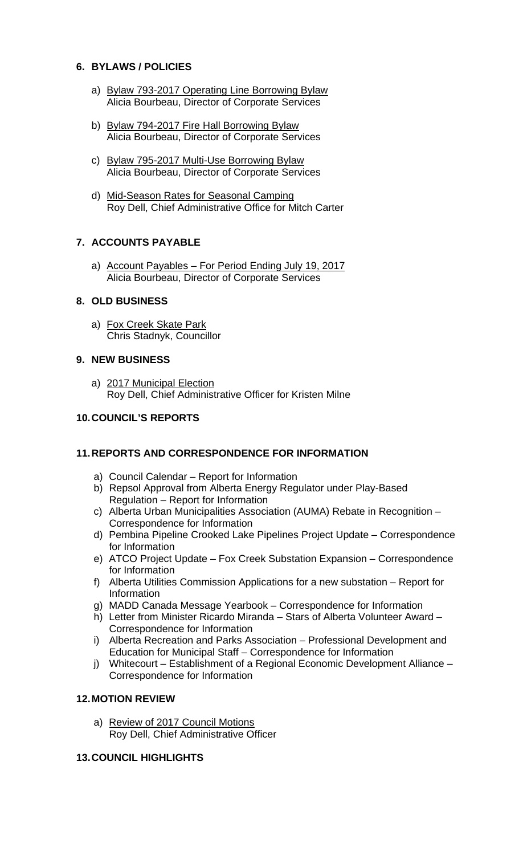### **6. BYLAWS / POLICIES**

- a) Bylaw 793-2017 Operating Line Borrowing Bylaw Alicia Bourbeau, Director of Corporate Services
- b) Bylaw 794-2017 Fire Hall Borrowing Bylaw Alicia Bourbeau, Director of Corporate Services
- c) Bylaw 795-2017 Multi-Use Borrowing Bylaw Alicia Bourbeau, Director of Corporate Services
- d) Mid-Season Rates for Seasonal Camping Roy Dell, Chief Administrative Office for Mitch Carter

# **7. ACCOUNTS PAYABLE**

a) Account Payables – For Period Ending July 19, 2017 Alicia Bourbeau, Director of Corporate Services

# **8. OLD BUSINESS**

a) Fox Creek Skate Park Chris Stadnyk, Councillor

#### **9. NEW BUSINESS**

a) 2017 Municipal Election Roy Dell, Chief Administrative Officer for Kristen Milne

### **10. COUNCIL'S REPORTS**

### **11. REPORTS AND CORRESPONDENCE FOR INFORMATION**

- a) Council Calendar Report for Information
- b) Repsol Approval from Alberta Energy Regulator under Play-Based Regulation – Report for Information
- c) Alberta Urban Municipalities Association (AUMA) Rebate in Recognition Correspondence for Information
- d) Pembina Pipeline Crooked Lake Pipelines Project Update Correspondence for Information
- e) ATCO Project Update Fox Creek Substation Expansion Correspondence for Information
- f) Alberta Utilities Commission Applications for a new substation Report for Information
- g) MADD Canada Message Yearbook Correspondence for Information
- h) Letter from Minister Ricardo Miranda Stars of Alberta Volunteer Award Correspondence for Information
- i) Alberta Recreation and Parks Association Professional Development and Education for Municipal Staff – Correspondence for Information
- j) Whitecourt Establishment of a Regional Economic Development Alliance Correspondence for Information

### **12. MOTION REVIEW**

a) Review of 2017 Council Motions Roy Dell, Chief Administrative Officer

#### **13. COUNCIL HIGHLIGHTS**